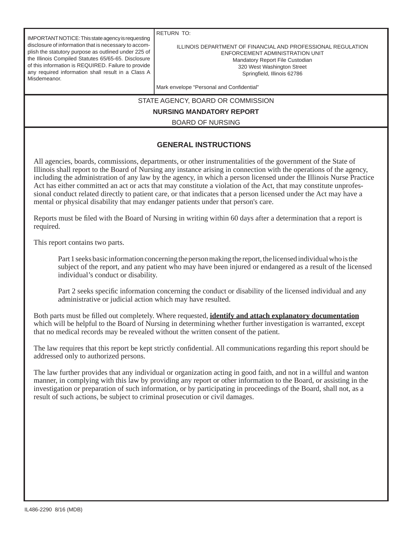IMPORTANT NOTICE: This state agency is requesting disclosure of information that is necessary to accomplish the statutory purpose as outlined under 225 of the Illinois Compiled Statutes 65/65-65. Disclosure of this information is REQUIRED. Failure to provide any required information shall result in a Class A Misdemeanor.

RETURN TO:

ILLINOIS DEPARTMENT OF FINANCIAL AND PROFESSIONAL REGULATION ENFORCEMENT ADMINISTRATION UNIT Mandatory Report File Custodian 320 West Washington Street Springfield, Illinois 62786

Mark envelope "Personal and Confidential"

STATE AGENCY, BOARD OR COMMISSION

**NURSING MANDATORY REPORT**

BOARD OF NURSING

## **GENERAL INSTRUCTIONS**

All agencies, boards, commissions, departments, or other instrumentalities of the government of the State of Illinois shall report to the Board of Nursing any instance arising in connection with the operations of the agency, including the administration of any law by the agency, in which a person licensed under the Illinois Nurse Practice Act has either committed an act or acts that may constitute a violation of the Act, that may constitute unprofessional conduct related directly to patient care, or that indicates that a person licensed under the Act may have a mental or physical disability that may endanger patients under that person's care.

Reports must be filed with the Board of Nursing in writing within 60 days after a determination that a report is required.

This report contains two parts.

 Part 1 seeks basic information concerning the person making the report, the licensed individual who is the subject of the report, and any patient who may have been injured or endangered as a result of the licensed individual's conduct or disability.

Part 2 seeks specific information concerning the conduct or disability of the licensed individual and any administrative or judicial action which may have resulted.

Both parts must be filled out completely. Where requested, **identify and attach explanatory documentation** which will be helpful to the Board of Nursing in determining whether further investigation is warranted, except that no medical records may be revealed without the written consent of the patient.

The law requires that this report be kept strictly confidential. All communications regarding this report should be addressed only to authorized persons.

The law further provides that any individual or organization acting in good faith, and not in a willful and wanton manner, in complying with this law by providing any report or other information to the Board, or assisting in the investigation or preparation of such information, or by participating in proceedings of the Board, shall not, as a result of such actions, be subject to criminal prosecution or civil damages.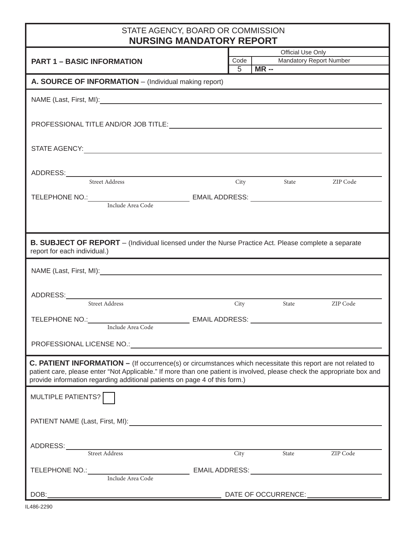| STATE AGENCY, BOARD OR COMMISSION<br><b>NURSING MANDATORY REPORT</b>                                                                                                                                                                                                                                                         |      |                        |       |                                                     |  |  |
|------------------------------------------------------------------------------------------------------------------------------------------------------------------------------------------------------------------------------------------------------------------------------------------------------------------------------|------|------------------------|-------|-----------------------------------------------------|--|--|
| <b>PART 1 - BASIC INFORMATION</b>                                                                                                                                                                                                                                                                                            | 5    | Code  <br><b>MR --</b> |       | Official Use Only<br><b>Mandatory Report Number</b> |  |  |
| A. SOURCE OF INFORMATION - (Individual making report)                                                                                                                                                                                                                                                                        |      |                        |       |                                                     |  |  |
|                                                                                                                                                                                                                                                                                                                              |      |                        |       |                                                     |  |  |
|                                                                                                                                                                                                                                                                                                                              |      |                        |       |                                                     |  |  |
|                                                                                                                                                                                                                                                                                                                              |      |                        |       |                                                     |  |  |
|                                                                                                                                                                                                                                                                                                                              |      |                        |       |                                                     |  |  |
| Street Address                                                                                                                                                                                                                                                                                                               |      |                        |       | City State ZIP Code                                 |  |  |
|                                                                                                                                                                                                                                                                                                                              |      |                        |       |                                                     |  |  |
|                                                                                                                                                                                                                                                                                                                              |      |                        |       |                                                     |  |  |
|                                                                                                                                                                                                                                                                                                                              |      |                        |       |                                                     |  |  |
| <b>B. SUBJECT OF REPORT</b> – (Individual licensed under the Nurse Practice Act. Please complete a separate<br>report for each individual.)                                                                                                                                                                                  |      |                        |       |                                                     |  |  |
|                                                                                                                                                                                                                                                                                                                              |      |                        |       |                                                     |  |  |
|                                                                                                                                                                                                                                                                                                                              |      |                        |       |                                                     |  |  |
| ADDRESS:<br>Street Address City                                                                                                                                                                                                                                                                                              |      | City                   |       | State ZIP Code                                      |  |  |
|                                                                                                                                                                                                                                                                                                                              |      |                        |       |                                                     |  |  |
|                                                                                                                                                                                                                                                                                                                              |      |                        |       |                                                     |  |  |
| <b>C. PATIENT INFORMATION - (If occurrence(s) or circumstances which necessitate this report are not related to</b><br>patient care, please enter "Not Applicable." If more than one patient is involved, please check the appropriate box and<br>provide information regarding additional patients on page 4 of this form.) |      |                        |       |                                                     |  |  |
| MULTIPLE PATIENTS?                                                                                                                                                                                                                                                                                                           |      |                        |       |                                                     |  |  |
|                                                                                                                                                                                                                                                                                                                              |      |                        |       |                                                     |  |  |
| ADDRESS: Street Address                                                                                                                                                                                                                                                                                                      | City |                        | State | ZIP Code                                            |  |  |
| TELEPHONE NO.: Include Area Code EMAIL ADDRESS: ________________________________                                                                                                                                                                                                                                             |      |                        |       |                                                     |  |  |
| DOB:                                                                                                                                                                                                                                                                                                                         |      |                        |       |                                                     |  |  |
|                                                                                                                                                                                                                                                                                                                              |      |                        |       |                                                     |  |  |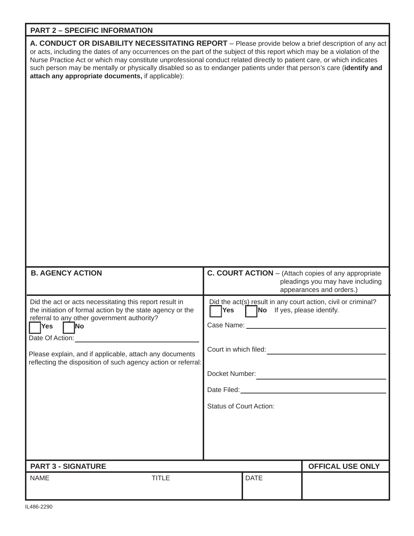## **PART 2 – SPECIFIC INFORMATION**

| A. CONDUCT OR DISABILITY NECESSITATING REPORT - Please provide below a brief description of any act<br>or acts, including the dates of any occurrences on the part of the subject of this report which may be a violation of the<br>Nurse Practice Act or which may constitute unprofessional conduct related directly to patient care, or which indicates<br>such person may be mentally or physically disabled so as to endanger patients under that person's care (identify and<br>attach any appropriate documents, if applicable): |                                                                                                                                                                                                                                   |             |                                                                                         |  |
|-----------------------------------------------------------------------------------------------------------------------------------------------------------------------------------------------------------------------------------------------------------------------------------------------------------------------------------------------------------------------------------------------------------------------------------------------------------------------------------------------------------------------------------------|-----------------------------------------------------------------------------------------------------------------------------------------------------------------------------------------------------------------------------------|-------------|-----------------------------------------------------------------------------------------|--|
| <b>B. AGENCY ACTION</b>                                                                                                                                                                                                                                                                                                                                                                                                                                                                                                                 |                                                                                                                                                                                                                                   |             | C. COURT ACTION - (Attach copies of any appropriate<br>pleadings you may have including |  |
| Did the act or acts necessitating this report result in<br>the initiation of formal action by the state agency or the<br>referral to any other government authority?<br><b>Yes</b><br><b>No</b><br>Date Of Action:<br>Please explain, and if applicable, attach any documents<br>reflecting the disposition of such agency action or referral:                                                                                                                                                                                          | appearances and orders.)<br>Did the act(s) result in any court action, civil or criminal?<br>No If yes, please identify.<br><b>Yes</b><br>Case Name:<br>Court in which filed:<br>Docket Number:<br><b>Status of Court Action:</b> |             |                                                                                         |  |
| <b>PART 3 - SIGNATURE</b>                                                                                                                                                                                                                                                                                                                                                                                                                                                                                                               |                                                                                                                                                                                                                                   |             | <b>OFFICAL USE ONLY</b>                                                                 |  |
| <b>TITLE</b><br><b>NAME</b>                                                                                                                                                                                                                                                                                                                                                                                                                                                                                                             |                                                                                                                                                                                                                                   | <b>DATE</b> |                                                                                         |  |